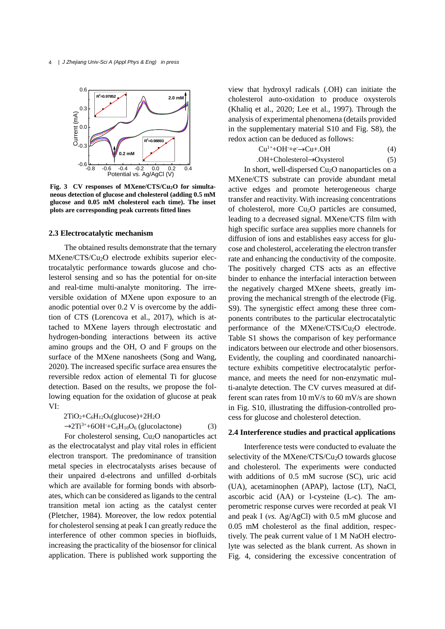4 *| J Zhejiang Univ-Sci A (Appl Phys & Eng) in press*



**Fig. 3 CV responses of MXene/CTS/Cu2O for simultaneous detection of glucose and cholesterol (adding 0.5 mM glucose and 0.05 mM cholesterol each time). The inset plots are corresponding peak currents fitted lines**

# **2.3 Electrocatalytic mechanism**

The obtained results demonstrate that the ternary MXene/CTS/Cu<sub>2</sub>O electrode exhibits superior electrocatalytic performance towards glucose and cholesterol sensing and so has the potential for on-site and real-time multi-analyte monitoring. The irreversible oxidation of MXene upon exposure to an anodic potential over 0.2 V is overcome by the addition of CTS (Lorencova et al., 2017), which is attached to MXene layers through electrostatic and hydrogen-bonding interactions between its active amino groups and the OH, O and F groups on the surface of the MXene nanosheets (Song and Wang, 2020). The increased specific surface area ensures the reversible redox action of elemental Ti for glucose detection. Based on the results, we propose the following equation for the oxidation of glucose at peak Ⅵ:

$$
2TiO2+C6H12O6(glucose)+2H2O
$$

 $\rightarrow$ 2Ti<sup>3+</sup>+6OH<sup>-</sup>+C<sub>6</sub>H<sub>10</sub>O<sub>6</sub> (glucolactone) (3) For cholesterol sensing, Cu2O nanoparticles act

as the electrocatalyst and play vital roles in efficient electron transport. The predominance of transition metal species in electrocatalysts arises because of their unpaired d-electrons and unfilled d-orbitals which are available for forming bonds with absorbates, which can be considered as ligands to the central transition metal ion acting as the catalyst center (Pletcher, 1984). Moreover, the low redox potential for cholesterol sensing at peak Ⅰ can greatly reduce the interference of other common species in biofluids, increasing the practicality of the biosensor for clinical application. There is published work supporting the view that hydroxyl radicals (.OH) can initiate the cholesterol auto-oxidation to produce oxysterols (Khaliq et al., 2020; Lee et al., 1997). Through the analysis of experimental phenomena (details provided in the supplementary material S10 and Fig. S8), the redox action can be deduced as follows:

$$
Cu1++OH++e-\rightarrow Cu+.OH
$$
 (4)

$$
.OH + Cholesterol \rightarrow Oxysterol \tag{5}
$$

In short, well-dispersed  $Cu<sub>2</sub>O$  nanoparticles on a MXene/CTS substrate can provide abundant metal active edges and promote heterogeneous charge transfer and reactivity. With increasing concentrations of cholesterol, more  $Cu<sub>2</sub>O$  particles are consumed, leading to a decreased signal. MXene/CTS film with high specific surface area supplies more channels for diffusion of ions and establishes easy access for glucose and cholesterol, accelerating the electron transfer rate and enhancing the conductivity of the composite. The positively charged CTS acts as an effective binder to enhance the interfacial interaction between the negatively charged MXene sheets, greatly improving the mechanical strength of the electrode (Fig. S9). The synergistic effect among these three components contributes to the particular electrocatalytic performance of the MXene/CTS/Cu<sub>2</sub>O electrode. Table S1 shows the comparison of key performance indicators between our electrode and other biosensors. Evidently, the coupling and coordinated nanoarchitecture exhibits competitive electrocatalytic performance, and meets the need for non-enzymatic multi-analyte detection. The CV curves measured at different scan rates from 10 mV/s to 60 mV/s are shown in Fig. S10, illustrating the diffusion-controlled process for glucose and cholesterol detection.

# **2.4 Interference studies and practical applications**

Interference tests were conducted to evaluate the selectivity of the MXene/CTS/ $Cu<sub>2</sub>O$  towards glucose and cholesterol. The experiments were conducted with additions of 0.5 mM sucrose (SC), uric acid (UA), acetaminophen (APAP), lactose (LT), NaCl, ascorbic acid (AA) or l-cysteine (L-c). The amperometric response curves were recorded at peak Ⅵ and peak Ⅰ (*vs.* Ag/AgCl) with 0.5 mM glucose and 0.05 mM cholesterol as the final addition, respectively. The peak current value of 1 M NaOH electrolyte was selected as the blank current. As shown in Fig. 4, considering the excessive concentration of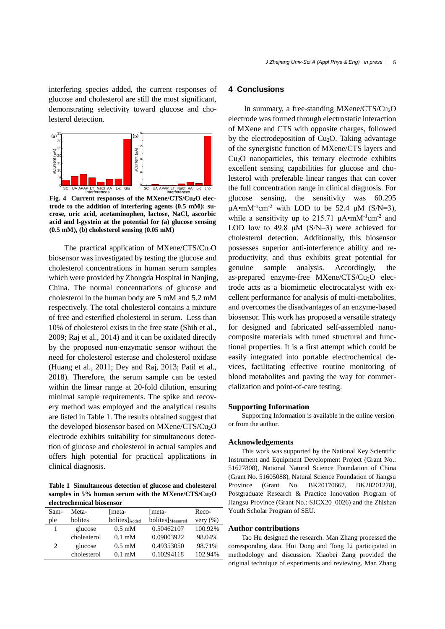interfering species added, the current responses of glucose and cholesterol are still the most significant, demonstrating selectivity toward glucose and cholesterol detection.



**Fig. 4 Current responses of the MXene/CTS/Cu2O electrode to the addition of interfering agents (0.5 mM): sucrose, uric acid, acetaminophen, lactose, NaCl, ascorbic acid and l-gystein at the potential for (a) glucose sensing (0.5 mM), (b) cholesterol sensing (0.05 mM)**

The practical application of MXene/CTS/Cu<sub>2</sub>O biosensor was investigated by testing the glucose and cholesterol concentrations in human serum samples which were provided by Zhongda Hospital in Nanjing, China. The normal concentrations of glucose and cholesterol in the human body are 5 mM and 5.2 mM respectively. The total cholesterol contains a mixture of free and esterified cholesterol in serum. Less than 10% of cholesterol exists in the free state (Shih et al., 2009; Raj et al., 2014) and it can be oxidated directly by the proposed non-enzymatic sensor without the need for cholesterol esterase and cholesterol oxidase (Huang et al., 2011; Dey and Raj, 2013; Patil et al., 2018). Therefore, the serum sample can be tested within the linear range at 20-fold dilution, ensuring minimal sample requirements. The spike and recovery method was employed and the analytical results are listed in Table 1. The results obtained suggest that the developed biosensor based on MXene/CTS/Cu2O electrode exhibits suitability for simultaneous detection of glucose and cholesterol in actual samples and offers high potential for practical applications in clinical diagnosis.

**Table 1 Simultaneous detection of glucose and cholesterol samples in 5% human serum with the MXene/CTS/Cu2O electrochemical biosensor**

| Sam- | Meta-       | [meta-                    | [meta-                       | Reco-        |
|------|-------------|---------------------------|------------------------------|--------------|
| ple  | bolites     | bolites]Added             | bolites] <sub>Measured</sub> | very $(\% )$ |
|      | glucose     | $0.5 \text{ }\mathrm{mM}$ | 0.50462107                   | 100.92%      |
|      | choleaterol | $0.1 \text{ mM}$          | 0.09803922                   | 98.04%       |
| 2    | glucose     | $0.5 \text{ }\mathrm{mM}$ | 0.49353050                   | 98.71%       |
|      | cholesterol | $0.1 \text{ mM}$          | 0.10294118                   | 102.94%      |

# **4 Conclusions**

In summary, a free-standing MXene/CTS/Cu2O electrode was formed through electrostatic interaction of MXene and CTS with opposite charges, followed by the electrodeposition of Cu2O. Taking advantage of the synergistic function of MXene/CTS layers and Cu2O nanoparticles, this ternary electrode exhibits excellent sensing capabilities for glucose and cholesterol with preferable linear ranges that can cover the full concentration range in clinical diagnosis. For glucose sensing, the sensitivity was 60.295  $\mu$ A•mM<sup>-1</sup>cm<sup>-2</sup> with LOD to be 52.4  $\mu$ M (S/N=3), while a sensitivity up to 215.71  $\mu$ A•mM<sup>-1</sup>cm<sup>-2</sup> and LOD low to 49.8  $\mu$ M (S/N=3) were achieved for cholesterol detection. Additionally, this biosensor possesses superior anti-interference ability and reproductivity, and thus exhibits great potential for genuine sample analysis. Accordingly, the as-prepared enzyme-free MXene/CTS/Cu<sub>2</sub>O electrode acts as a biomimetic electrocatalyst with excellent performance for analysis of multi-metabolites, and overcomes the disadvantages of an enzyme-based biosensor. This work has proposed a versatile strategy for designed and fabricated self-assembled nanocomposite materials with tuned structural and functional properties. It is a first attempt which could be easily integrated into portable electrochemical devices, facilitating effective routine monitoring of blood metabolites and paving the way for commercialization and point-of-care testing.

#### **Supporting Information**

Supporting Information is available in the online version or from the author.

#### **Acknowledgements**

This work was supported by the National Key Scientific Instrument and Equipment Development Project (Grant No.: 51627808), National Natural Science Foundation of China (Grant No. 51605088), Natural Science Foundation of Jiangsu Province (Grant No. BK20170667, BK20201278), Postgraduate Research & Practice Innovation Program of Jiangsu Province (Grant No.: SJCX20\_0026) and the Zhishan Youth Scholar Program of SEU.

## **Author contributions**

Tao Hu designed the research. Man Zhang processed the corresponding data. Hui Dong and Tong Li participated in methodology and discussion. Xiaobei Zang provided the original technique of experiments and reviewing. Man Zhang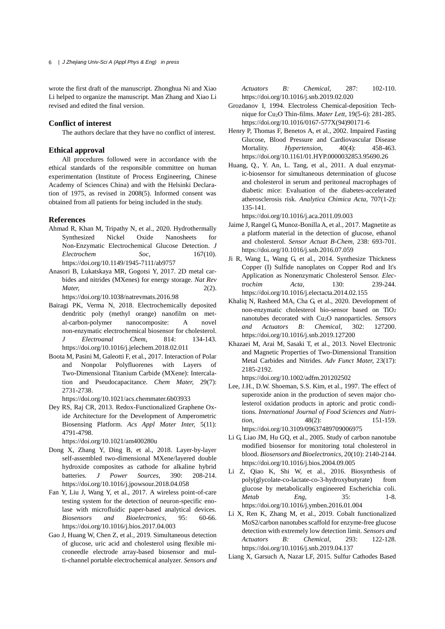wrote the first draft of the manuscript. Zhonghua Ni and Xiao Li helped to organize the manuscript. Man Zhang and Xiao Li revised and edited the final version.

#### **Conflict of interest**

The authors declare that they have no conflict of interest.

#### **Ethical approval**

All procedures followed were in accordance with the ethical standards of the responsible committee on human experimentation (Institute of Process Engineering, Chinese Academy of Sciences China) and with the Helsinki Declaration of 1975, as revised in 2008(5). Informed consent was obtained from all patients for being included in the study.

#### **References**

- Ahmad R, Khan M, Tripathy N, et al., 2020. Hydrothermally Synthesized Nickel Oxide Nanosheets for Non-Enzymatic Electrochemical Glucose Detection. *J Electrochem Soc*, 167(10). https://doi.org/10.1149/1945-7111/ab9757
- Anasori B, Lukatskaya MR, Gogotsi Y, 2017. 2D metal carbides and nitrides (MXenes) for energy storage. *Nat Rev Mater,* 2(2).

https://doi.org/10.1038/natrevmats.2016.98

- Bairagi PK, Verma N, 2018. Electrochemically deposited dendritic poly (methyl orange) nanofilm on metal-carbon-polymer nanocomposite: A novel non-enzymatic electrochemical biosensor for cholesterol. *J Electroanal Chem*, 814: 134-143. https://doi.org/10.1016/j.jelechem.2018.02.011
- Boota M, Pasini M, Galeotti F, et al., 2017. Interaction of Polar and Nonpolar Polyfluorenes with Layers of Two-Dimensional Titanium Carbide (MXene): Intercalation and Pseudocapacitance. *Chem Mater,* 29(7): 2731-2738.

https://doi.org/10.1021/acs.chemmater.6b03933

Dey RS, Raj CR, 2013. Redox-Functionalized Graphene Oxide Architecture for the Development of Amperometric Biosensing Platform. *Acs Appl Mater Inter,* 5(11): 4791-4798.

https://doi.org/10.1021/am400280u

- Dong X, Zhang Y, Ding B, et al., 2018. Layer-by-layer self-assembled two-dimensional MXene/layered double hydroxide composites as cathode for alkaline hybrid batteries. *J Power Sources*, 390: 208-214. https://doi.org/10.1016/j.jpowsour.2018.04.058
- Fan Y, Liu J, Wang Y, et al., 2017. A wireless point-of-care testing system for the detection of neuron-specific enolase with microfluidic paper-based analytical devices. *Biosensors and Bioelectronics*, 95: 60-66. https://doi.org/10.1016/j.bios.2017.04.003
- Gao J, Huang W, Chen Z, et al., 2019. Simultaneous detection of glucose, uric acid and cholesterol using flexible microneedle electrode array-based biosensor and multi-channel portable electrochemical analyzer. *Sensors and*

*Actuators B: Chemical,* 287: 102-110. https://doi.org/10.1016/j.snb.2019.02.020

- Grozdanov I, 1994. Electroless Chemical-deposition Technique for Cu2O Thin-films. *Mater Lett,* 19(5-6): 281-285. https://doi.org/10.1016/0167-577X(94)90171-6
- Henry P, Thomas F, Benetos A, et al., 2002. Impaired Fasting Glucose, Blood Pressure and Cardiovascular Disease Mortality. *Hypertension,* 40(4): 458-463. https://doi.org/10.1161/01.HYP.0000032853.95690.26
- Huang, Q., Y. An, L. Tang, et al., 2011. A dual enzymatic-biosensor for simultaneous determination of glucose and cholesterol in serum and peritoneal macrophages of diabetic mice: Evaluation of the diabetes-accelerated atherosclerosis risk. *Analytica Chimica Acta,* 707(1-2): 135-141.

https://doi.org/10.1016/j.aca.2011.09.003

- Jaime J, Rangel G, Munoz-Bonilla A, et al., 2017. Magnetite as a platform material in the detection of glucose, ethanol and cholesterol. *Sensor Actuat B-Chem,* 238: 693-701. https://doi.org/10.1016/j.snb.2016.07.059
- Ji R, Wang L, Wang G, et al., 2014. Synthesize Thickness Copper (I) Sulfide nanoplates on Copper Rod and It's Application as Nonenzymatic Cholesterol Sensor. *Electrochim Acta,* 130: 239-244. https://doi.org/10.1016/j.electacta.2014.02.155
- Khaliq N, Rasheed MA, Cha G, et al., 2020. Development of non-enzymatic cholesterol bio-sensor based on TiO<sup>2</sup> nanotubes decorated with Cu2O nanoparticles. *Sensors and Actuators B: Chemical,* 302: 127200. https://doi.org/10.1016/j.snb.2019.127200
- Khazaei M, Arai M, Sasaki T, et al., 2013. Novel Electronic and Magnetic Properties of Two-Dimensional Transition Metal Carbides and Nitrides. *Adv Funct Mater,* 23(17): 2185-2192.

https://doi.org/10.1002/adfm.201202502

Lee, J.H., D.W. Shoeman, S.S. Kim, et al., 1997. The effect of superoxide anion in the production of seven major cholesterol oxidation products in aptoric and protic conditions. *International Journal of Food Sciences and Nutrition.* 48(2): 151-159. https://doi.org/10.3109/09637489709006975

Li G, Liao JM, Hu GQ, et al., 2005. Study of carbon nanotube modified biosensor for monitoring total cholesterol in blood. *Biosensors and Bioelectronics,* 20(10): 2140-2144.

- https://doi.org/10.1016/j.bios.2004.09.005 Li Z, Qiao K, Shi W, et al., 2016. Biosynthesis of poly(glycolate-co-lactate-co-3-hydroxybutyrate) from glucose by metabolically engineered Escherichia coli. *Metab Eng,* 35: 1-8. https://doi.org/10.1016/j.ymben.2016.01.004
- Li X, Ren K, Zhang M, et al., 2019. Cobalt functionalized MoS2/carbon nanotubes scaffold for enzyme-free glucose detection with extremely low detection limit. *Sensors and Actuators B: Chemical*, 293: 122-128. https://doi.org/10.1016/j.snb.2019.04.137
- Liang X, Garsuch A, Nazar LF, 2015. Sulfur Cathodes Based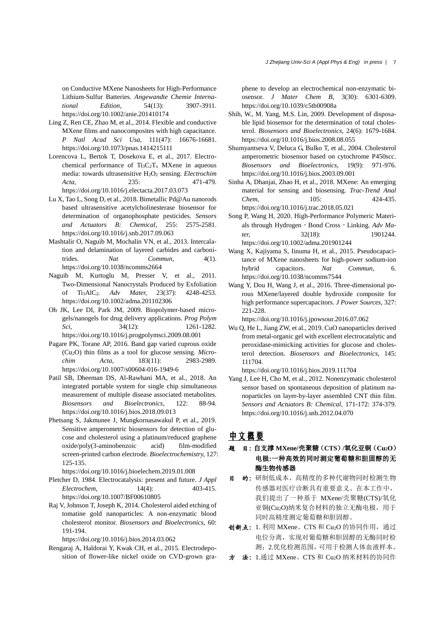on Conductive MXene Nanosheets for High-Performance Lithium-Sulfur Batteries. *Angewandte Chemie International Edition,* 54(13): 3907-3911. https://doi.org/10.1002/anie.201410174

- Ling Z, Ren CE, Zhao M, et al., 2014. Flexible and conductive MXene films and nanocomposites with high capacitance. *P Natl Acad Sci Usa,* 111(47): 16676-16681. https://doi.org/10.1073/pnas.1414215111
- Lorencova L, Bertok T, Dosekova E, et al., 2017. Electrochemical performance of  $Ti_3C_2T_x$  MXene in aqueous media: towards ultrasensitive H2O<sup>2</sup> sensing. *Electrochim Acta,* 235: 471-479. https://doi.org/10.1016/j.electacta.2017.03.073
- Lu X, Tao L, Song D, et al., 2018. Bimetallic Pd@Au nanorods based ultrasensitive acetylcholinesterase biosensor for determination of organophosphate pesticides. *Sensors and Actuators B: Chemical,* 255: 2575-2581. https://doi.org/10.1016/j.snb.2017.09.063
- Mashtalir O, Naguib M, Mochalin VN, et al., 2013. Intercalation and delamination of layered carbides and carbonitrides. *Nat Commun,* 4(1). https://doi.org/10.1038/ncomms2664
- Naguib M, Kurtoglu M, Presser V, et al., 2011. Two-Dimensional Nanocrystals Produced by Exfoliation of Ti3AlC2. *Adv Mater,* 23(37): 4248-4253. https://doi.org/10.1002/adma.201102306
- Oh JK, Lee DI, Park JM, 2009. Biopolymer-based microgels/nanogels for drug delivery applications. *Prog Polym Sci.* 34(12): 1261-1282. https://doi.org/10.1016/j.progpolymsci.2009.08.001
- Pagare PK, Torane AP, 2016. Band gap varied cuprous oxide (Cu2O) thin films as a tool for glucose sensing. *Microchim Acta,* 183(11): 2983-2989. https://doi.org/10.1007/s00604-016-1949-6
- Patil SB, Dheeman DS, Al-Rawhani MA, et al., 2018. An integrated portable system for single chip simultaneous measurement of multiple disease associated metabolites. *Biosensors and Bioelectronics,* 122: 88-94. https://doi.org/10.1016/j.bios.2018.09.013
- Phetsang S, Jakmunee J, Mungkornasawakul P, et al., 2019. Sensitive amperometric biosensors for detection of glucose and cholesterol using a platinum/reduced graphene oxide/poly(3-aminobenzoic acid) film-modified screen-printed carbon electrode. *Bioelectrochemistry,* 127: 125-135.

https://doi.org/10.1016/j.bioelechem.2019.01.008

- Pletcher D, 1984. Electrocatalysis: present and future. *J Appl Electrochem,* 14(4): 403-415. https://doi.org/10.1007/BF00610805
- Raj V, Johnson T, Joseph K, 2014. Cholesterol aided etching of tomatine gold nanoparticles: A non-enzymatic blood cholesterol monitor. *Biosensors and Bioelectronics,* 60: 191-194.

https://doi.org/10.1016/j.bios.2014.03.062

Rengaraj A, Haldorai Y, Kwak CH, et al., 2015. Electrodeposition of flower-like nickel oxide on CVD-grown graphene to develop an electrochemical non-enzymatic biosensor. *J Mater Chem B,* 3(30): 6301-6309. https://doi.org/10.1039/c5tb00908a

- Shih, W., M. Yang, M.S. Lin, 2009. Development of disposable lipid biosensor for the determination of total cholesterol. *Biosensors and Bioelectronics,* 24(6): 1679-1684. https://doi.org/10.1016/j.bios.2008.08.055
- Shumyantseva V, Deluca G, Bulko T, et al., 2004. Cholesterol amperometric biosensor based on cytochrome P450scc. *Biosensors and Bioelectronics,* 19(9): 971-976. https://doi.org/10.1016/j.bios.2003.09.001
- Sinha A, Dhanjai, Zhao H, et al., 2018. MXene: An emerging material for sensing and biosensing. *Trac-Trend Anal Chem,* 105: 424-435. https://doi.org/10.1016/j.trac.2018.05.021
- Song P, Wang H, 2020. High-Performance Polymeric Materials through Hydrogen‐Bond Cross‐Linking. *Adv Mater,* 32(18): 1901244. https://doi.org/10.1002/adma.201901244
- Wang X, Kajiyama S, Iinuma H, et al., 2015. Pseudocapacitance of MXene nanosheets for high-power sodium-ion hybrid capacitors. *Nat Commun,* 6. https://doi.org/10.1038/ncomms7544
- Wang Y, Dou H, Wang J, et al., 2016. Three-dimensional porous MXene/layered double hydroxide composite for high performance supercapacitors. *J Power Sources,* 327: 221-228.

https://doi.org/10.1016/j.jpowsour.2016.07.062

Wu Q, He L, Jiang ZW, et al., 2019. CuO nanoparticles derived from metal-organic gel with excellent electrocatalytic and peroxidase-mimicking activities for glucose and cholesterol detection. *Biosensors and Bioelectronics,* 145: 111704.

https://doi.org/10.1016/j.bios.2019.111704

Yang J, Lee H, Cho M, et al., 2012. Nonenzymatic cholesterol sensor based on spontaneous deposition of platinum nanoparticles on layer-by-layer assembled CNT thin film. *Sensors and Actuators B: Chemical,* 171-172: 374-379. https://doi.org/10.1016/j.snb.2012.04.070

# 中文概要

- 题 目:自支撑 **MXene/**壳聚糖(**CTS**)**/**氧化亚铜(**Cu2O**) 电极**:**一种高效的同时测定葡萄糖和胆固醇的无 酶生物传感器
- 目 的:研制低成本、高精度的多种代谢物同时检测生物 传感器对医疗诊断具有重要意义。在本工作中, 我们提出了一种基于 MXene/壳聚糖(CTS)/氧化 亚铜(Cu2O)纳米复合材料的独立无酶电极,用于 同时高精度测定葡萄糖和胆固醇。
- 创新点: 1. 利用 MXene、CTS 和 Cu2O 的协同作用, 通过 电位分离,实现对葡萄糖和胆固醇的无酶同时检 测;2.优化检测范围,可用于检测人体血液样本。
- 方 法:1.通过 MXene、CTS 和 Cu2O 纳米材料的协同作